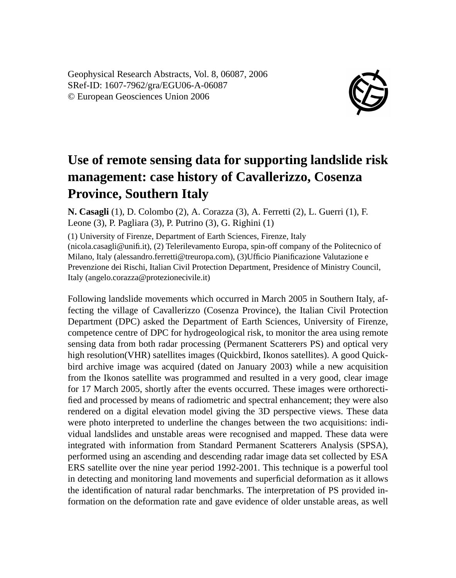Geophysical Research Abstracts, Vol. 8, 06087, 2006 SRef-ID: 1607-7962/gra/EGU06-A-06087 © European Geosciences Union 2006



## **Use of remote sensing data for supporting landslide risk management: case history of Cavallerizzo, Cosenza Province, Southern Italy**

**N. Casagli** (1), D. Colombo (2), A. Corazza (3), A. Ferretti (2), L. Guerri (1), F. Leone (3), P. Pagliara (3), P. Putrino (3), G. Righini (1)

(1) University of Firenze, Department of Earth Sciences, Firenze, Italy (nicola.casagli@unifi.it), (2) Telerilevamento Europa, spin-off company of the Politecnico of Milano, Italy (alessandro.ferretti@treuropa.com), (3)Ufficio Pianificazione Valutazione e Prevenzione dei Rischi, Italian Civil Protection Department, Presidence of Ministry Council, Italy (angelo.corazza@protezionecivile.it)

Following landslide movements which occurred in March 2005 in Southern Italy, affecting the village of Cavallerizzo (Cosenza Province), the Italian Civil Protection Department (DPC) asked the Department of Earth Sciences, University of Firenze, competence centre of DPC for hydrogeological risk, to monitor the area using remote sensing data from both radar processing (Permanent Scatterers PS) and optical very high resolution(VHR) satellites images (Quickbird, Ikonos satellites). A good Quickbird archive image was acquired (dated on January 2003) while a new acquisition from the Ikonos satellite was programmed and resulted in a very good, clear image for 17 March 2005, shortly after the events occurred. These images were orthorectified and processed by means of radiometric and spectral enhancement; they were also rendered on a digital elevation model giving the 3D perspective views. These data were photo interpreted to underline the changes between the two acquisitions: individual landslides and unstable areas were recognised and mapped. These data were integrated with information from Standard Permanent Scatterers Analysis (SPSA), performed using an ascending and descending radar image data set collected by ESA ERS satellite over the nine year period 1992-2001. This technique is a powerful tool in detecting and monitoring land movements and superficial deformation as it allows the identification of natural radar benchmarks. The interpretation of PS provided information on the deformation rate and gave evidence of older unstable areas, as well